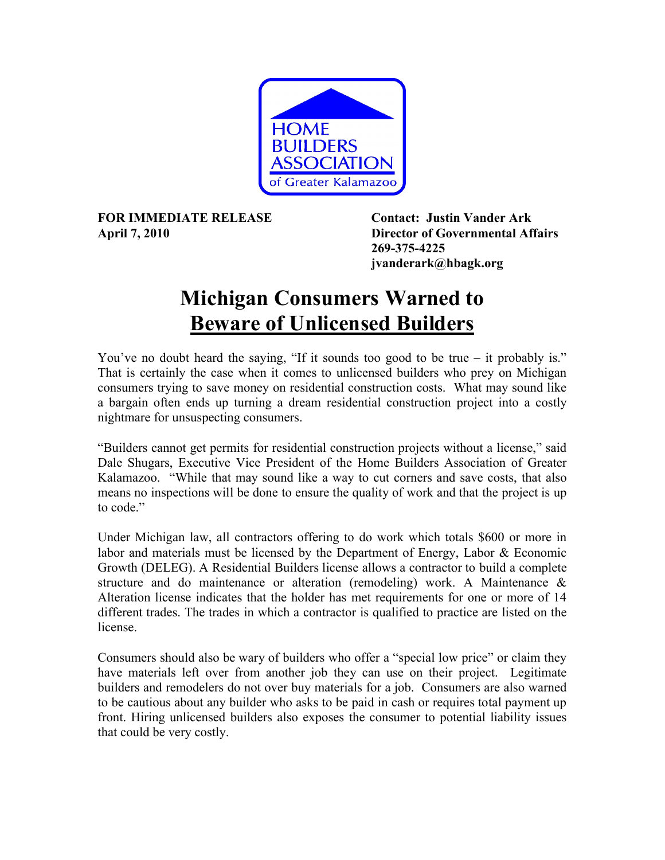

**FOR IMMEDIATE RELEASE Contact: Justin Vander Ark** 

**April 7, 2010 Director of Governmental Affairs 269-375-4225 jvanderark@hbagk.org**

## **Michigan Consumers Warned to Beware of Unlicensed Builders**

You've no doubt heard the saying, "If it sounds too good to be true – it probably is." That is certainly the case when it comes to unlicensed builders who prey on Michigan consumers trying to save money on residential construction costs. What may sound like a bargain often ends up turning a dream residential construction project into a costly nightmare for unsuspecting consumers.

"Builders cannot get permits for residential construction projects without a license," said Dale Shugars, Executive Vice President of the Home Builders Association of Greater Kalamazoo. "While that may sound like a way to cut corners and save costs, that also means no inspections will be done to ensure the quality of work and that the project is up to code."

Under Michigan law, all contractors offering to do work which totals \$600 or more in labor and materials must be licensed by the Department of Energy, Labor & Economic Growth (DELEG). A Residential Builders license allows a contractor to build a complete structure and do maintenance or alteration (remodeling) work. A Maintenance & Alteration license indicates that the holder has met requirements for one or more of 14 different trades. The trades in which a contractor is qualified to practice are listed on the license.

Consumers should also be wary of builders who offer a "special low price" or claim they have materials left over from another job they can use on their project. Legitimate builders and remodelers do not over buy materials for a job. Consumers are also warned to be cautious about any builder who asks to be paid in cash or requires total payment up front. Hiring unlicensed builders also exposes the consumer to potential liability issues that could be very costly.